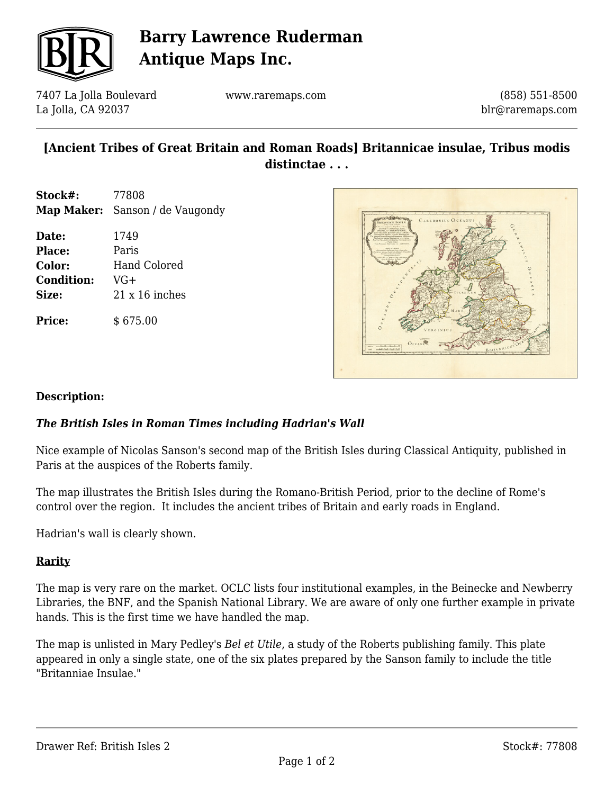

## **Barry Lawrence Ruderman Antique Maps Inc.**

7407 La Jolla Boulevard La Jolla, CA 92037

www.raremaps.com

(858) 551-8500 blr@raremaps.com

## **[Ancient Tribes of Great Britain and Roman Roads] Britannicae insulae, Tribus modis distinctae . . .**

- **Stock#:** 77808 **Map Maker:** Sanson / de Vaugondy
- **Date:** 1749 **Place:** Paris **Color:** Hand Colored **Condition:** VG+ **Size:** 21 x 16 inches

**Price:** \$ 675.00



#### **Description:**

### *The British Isles in Roman Times including Hadrian's Wall*

Nice example of Nicolas Sanson's second map of the British Isles during Classical Antiquity, published in Paris at the auspices of the Roberts family.

The map illustrates the British Isles during the Romano-British Period, prior to the decline of Rome's control over the region. It includes the ancient tribes of Britain and early roads in England.

Hadrian's wall is clearly shown.

#### **Rarity**

The map is very rare on the market. OCLC lists four institutional examples, in the Beinecke and Newberry Libraries, the BNF, and the Spanish National Library. We are aware of only one further example in private hands. This is the first time we have handled the map.

The map is unlisted in Mary Pedley's *Bel et Utile*, a study of the Roberts publishing family. This plate appeared in only a single state, one of the six plates prepared by the Sanson family to include the title "Britanniae Insulae."